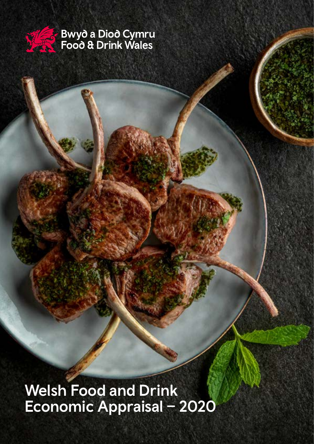

**Bwyd a Diod Cymru<br>Food & Drink Wales** 

Welsh Food and Drink Economic Appraisal – 2020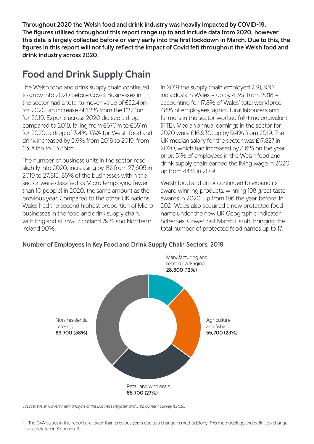Throughout 2020 the Welsh food and drink industry was heavily impacted by COVID-19. The figures utilised throughout this report range up to and include data from 2020, however this data is largely collected before or very early into the first lockdown in March. Due to this, the figures in this report will not fully reflect the impact of Covid felt throughout the Welsh food and drink industry across 2020.

### Food and Drink Supply Chain

The Welsh food and drink supply chain continued to grow into 2020 before Covid. Businesses in the sector had a total turnover value of £22.4bn for 2020, an increase of 1.2% from the £22.1bn for 2019. Exports across 2020 did see a drop compared to 2019, falling from £570m to £551m for 2020, a drop of 3.4%. GVA for Welsh food and drink increased by 3.9% from 2018 to 2019, from £3.70bn to £3.85bn<sup>1</sup>.

The number of business units in the sector rose slightly into 2020, increasing by 1% from 27,605 in 2019 to 27,815. 85% of the businesses within the sector were classified as Micro (employing fewer than 10 people) in 2020, the same amount as the previous year. Compared to the other UK nations Wales had the second highest proportion of Micro businesses in the food and drink supply chain, with England at 78%, Scotland 79% and Northern Ireland 90%.

In 2019 the supply chain employed 239,300 individuals in Wales - up by 4.3% from 2018 accounting for 17.8% of Wales' total workforce. 48% of employees, agricultural labourers and farmers in the sector worked full-time equivalent (FTE). Median annual earnings in the sector for 2020 were £16,930, up by 9.4% from 2019. The UK median salary for the sector was £17,827 in 2020, which had increased by 3.6% on the year prior. 51% of employees in the Welsh food and drink supply chain earned the living wage in 2020, up from 44% in 2019.

Welsh food and drink continued to expand its award winning products, winning 198 great taste awards in 2020, up from 196 the year before. In 2021 Wales also acquired a new protected food name under the new UK Geographic Indicator Schemes, Gower Salt Marsh Lamb, bringing the total number of protected food names up to 17.

#### Number of Employees in Key Food and Drink Supply Chain Sectors, 2019



*Source: Welsh Government analysis of the Business Register and Employment Survey (BRES).*

<sup>1.</sup> The GVA values in this report are lower than previous years due to a change in methodology. This methodology and definition change are detailed in Appendix B.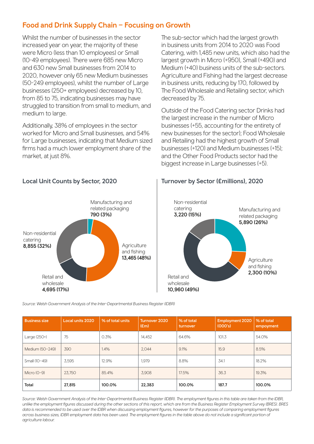### Food and Drink Supply Chain – Focusing on Growth

Whilst the number of businesses in the sector increased year on year, the majority of these were Micro (less than 10 employees) or Small (10-49 employees). There were 685 new Micro and 630 new Small businesses from 2014 to 2020, however only 65 new Medium businesses (50-249 employees), whilst the number of Large businesses (250+ employees) decreased by 10, from 85 to 75, indicating businesses may have struggled to transition from small to medium, and medium to large.

Additionally, 38% of employees in the sector worked for Micro and Small businesses, and 54% for Large businesses, indicating that Medium sized firms had a much lower employment share of the market, at just 8%.

The sub-sector which had the largest growth in business units from 2014 to 2020 was Food Catering, with 1,485 new units, which also had the largest growth in Micro (+950), Small (+490) and Medium (+40) business units of the sub-sectors. Agriculture and Fishing had the largest decrease in business units, reducing by 170, followed by The Food Wholesale and Retailing sector, which decreased by 75.

Outside of the Food Catering sector Drinks had the largest increase in the number of Micro businesses (+55, accounting for the entirety of new businesses for the sector); Food Wholesale and Retailing had the highest growth of Small businesses (+120) and Medium businesses (+15); and the Other Food Products sector had the biggest increase in Large businesses (+5).



#### Local Unit Counts by Sector, 2020 Turnover by Sector (£millions), 2020



*Source: Welsh Government Analysis of the Inter-Departmental Business Register (IDBR)*

| <b>Business size</b> | <b>Local units 2020</b> | % of total units | Turnover 2020<br>E(m) | % of total<br>turnover | <b>Employment 2020</b><br>(000's) | % of total<br>empoyment |
|----------------------|-------------------------|------------------|-----------------------|------------------------|-----------------------------------|-------------------------|
| Large (250+)         | 75                      | 0.3%             | 14.452                | 64.6%                  | 101.3                             | 54.0%                   |
| Medium (50-249)      | 390                     | 1.4%             | 2.044                 | 9.1%                   | 15.9                              | 8.5%                    |
| Small (10-49)        | 3,595                   | 12.9%            | 1,979                 | 8.8%                   | 34.1                              | 18.2%                   |
| Micro $(0-9)$        | 23.750                  | 85.4%            | 3.908                 | 17.5%                  | 36.3                              | 19.3%                   |
| <b>Total</b>         | 27,815                  | 100.0%           | 22,383                | 100.0%                 | 187.7                             | 100.0%                  |

*Source: Welsh Government Analysis of the Inter-Departmental Business Register (IDBR). The employment figures in this table are taken from the IDBR, unlike the employment figures discussed during the other sections of this report, which are from the Business Register Employment Survey (BRES). BRES*  data is recommended to be used over the IDBR when discussing employment figures, however for the purposes of comparing employment figures across business sizes, IDBR employment data has been used. The employment figures in the table above do not include a significant portion of *agriculture labour.*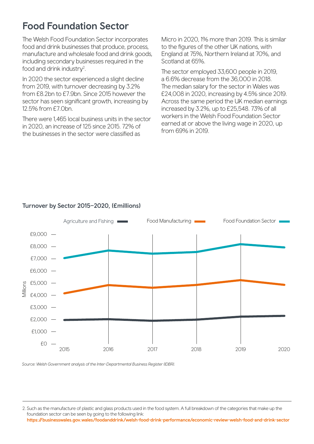### Food Foundation Sector

The Welsh Food Foundation Sector incorporates food and drink businesses that produce, process, manufacture and wholesale food and drink goods, including secondary businesses required in the food and drink industry<sup>2</sup>.

In 2020 the sector experienced a slight decline from 2019, with turnover decreasing by 3.2% from £8.2bn to £7.9bn. Since 2015 however the sector has seen significant growth, increasing by 12.5% from £7.0bn.

There were 1,465 local business units in the sector in 2020, an increase of 125 since 2015. 72% of the businesses in the sector were classified as

Micro in 2020, 1% more than 2019. This is similar to the figures of the other UK nations, with England at 75%, Northern Ireland at 70%, and Scotland at 65%.

The sector employed 33,600 people in 2019, a 6.6% decrease from the 36,000 in 2018. The median salary for the sector in Wales was £24,008 in 2020, increasing by 4.5% since 2019. Across the same period the UK median earnings increased by 3.2%, up to £25,548. 73% of all workers in the Welsh Food Foundation Sector earned at or above the living wage in 2020, up from 69% in 2019.



#### Turnover by Sector 2015–2020, (£millions)

*Source: Welsh Government analysis of the Inter-Departmental Business Register (IDBR).*

<sup>2.</sup> Such as the manufacture of plastic and glass products used in the food system. A full breakdown of the categories that make up the foundation sector can be seen by going to the following link: https://businesswales.gov.wales/foodanddrink/welsh-food-drink-performance/economic-review-welsh-food-and-drink-sector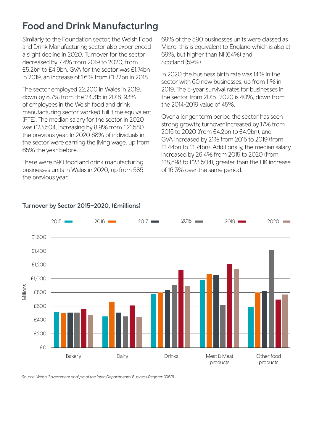### Food and Drink Manufacturing

Similarly to the Foundation sector, the Welsh Food and Drink Manufacturing sector also experienced a slight decline in 2020. Turnover for the sector decreased by 7.4% from 2019 to 2020, from £5.2bn to £4.9bn. GVA for the sector was £1.74bn in 2019, an increase of 1.6% from £1.72bn in 2018.

The sector employed 22,200 in Wales in 2019, down by 8.7% from the 24,315 in 2018. 93% of employees in the Welsh food and drink manufacturing sector worked full-time equivalent (FTE). The median salary for the sector in 2020 was £23,504, increasing by 8.9% from £21,580 the previous year. In 2020 68% of individuals in the sector were earning the living wage, up from 65% the year before.

There were 590 food and drink manufacturing businesses units in Wales in 2020, up from 585 the previous year.

69% of the 590 businesses units were classed as Micro, this is equivalent to England which is also at 69%, but higher than NI (64%) and Scotland (59%).

In 2020 the business birth rate was 14% in the sector with 60 new businesses, up from 11% in 2019. The 5-year survival rates for businesses in the sector from 2015–2020 is 40%, down from the 2014-2019 value of 45%.

Over a longer term period the sector has seen strong growth; turnover increased by 17% from 2015 to 2020 (from £4.2bn to £4.9bn), and GVA increased by 21% from 2015 to 2019 (from £1.44bn to £1.74bn). Additionally, the median salary increased by 26.4% from 2015 to 2020 (from £18,598 to £23,504), greater than the UK increase of 16.3% over the same period.



#### Turnover by Sector 2015–2020, (£millions)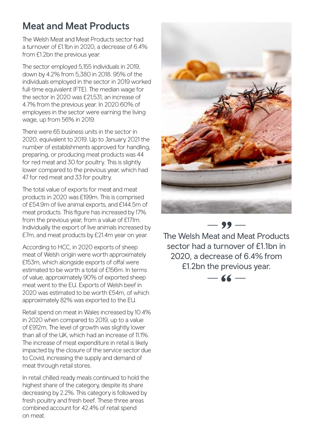### Meat and Meat Products

The Welsh Meat and Meat Products sector had a turnover of £1.1bn in 2020, a decrease of 6.4% from £1.2bn the previous year.

The sector employed 5,155 individuals in 2019, down by 4.2% from 5,380 in 2018. 95% of the individuals employed in the sector in 2019 worked full-time equivalent (FTE). The median wage for the sector in 2020 was £21,531, an increase of 4.7% from the previous year. In 2020 60% of employees in the sector were earning the living wage, up from 56% in 2019.

There were 65 business units in the sector in 2020, equivalent to 2019. Up to January 2021 the number of establishments approved for handling, preparing, or producing meat products was 44 for red meat and 30 for poultry. This is slightly lower compared to the previous year, which had 47 for red meat and 33 for poultry.

The total value of exports for meat and meat products in 2020 was £199m. This is comprised of £54.9m of live animal exports, and £144.5m of meat products. This figure has increased by 17% from the previous year, from a value of £171m. Individually the export of live animals increased by £7m, and meat products by £21.4m year on year.

According to HCC, in 2020 exports of sheep meat of Welsh origin were worth approximately £153m, which alongside exports of offal were estimated to be worth a total of £156m. In terms of value, approximately 90% of exported sheep meat went to the EU. Exports of Welsh beef in 2020 was estimated to be worth £54m, of which approximately 82% was exported to the EU.

Retail spend on meat in Wales increased by 10.4% in 2020 when compared to 2019, up to a value of £912m. The level of growth was slightly lower than all of the UK, which had an increase of 11.1%. The increase of meat expenditure in retail is likely impacted by the closure of the service sector due to Covid, increasing the supply and demand of meat through retail stores.

In retail chilled ready meals continued to hold the highest share of the category, despite its share decreasing by 2.2%. This category is followed by fresh poultry and fresh beef. These three areas combined account for 42.4% of retail spend on meat.



The Welsh Meat and Meat Products sector had a turnover of £1.1bn in 2020, a decrease of 6.4% from £1.2bn the previous year.

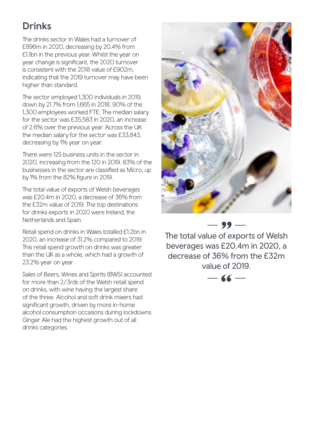# Drinks

The drinks sector in Wales had a turnover of £896m in 2020, decreasing by 20.4% from £1.1bn in the previous year. Whilst the year on year change is significant, the 2020 turnover is consistent with the 2018 value of £902m, indicating that the 2019 turnover may have been higher than standard.

The sector employed 1,300 individuals in 2019, down by 21.7% from 1,665 in 2018. 90% of the 1,300 employees worked FTE. The median salary for the sector was £35,583 in 2020, an increase of 2.6% over the previous year. Across the UK the median salary for the sector was £33,843, decreasing by 1% year on year.

There were 125 business units in the sector in 2020, increasing from the 120 in 2019. 83% of the businesses in the sector are classified as Micro, up by 1% from the 82% figure in 2019.

The total value of exports of Welsh beverages was £20.4m in 2020, a decrease of 36% from the £32m value of 2019. The top destinations for drinks exports in 2020 were Ireland, the Netherlands and Spain.

Retail spend on drinks in Wales totalled £1.2bn in 2020, an increase of 31.2% compared to 2019. This retail spend growth on drinks was greater than the UK as a whole, which had a growth of 23.2% year on year.

Sales of Beers, Wines and Spirits (BWS) accounted for more than 2/3rds of the Welsh retail spend on drinks, with wine having the largest share of the three. Alcohol and soft drink mixers had significant growth, driven by more in-home alcohol consumption occasions during lockdowns. Ginger Ale had the highest growth out of all drinks categories.



 $-99 -$ 

The total value of exports of Welsh beverages was £20.4m in 2020, a decrease of 36% from the £32m value of 2019.

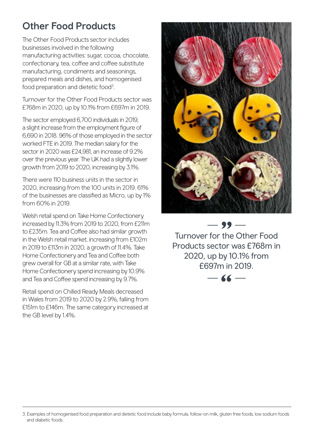### Other Food Products

The Other Food Products sector includes businesses involved in the following manufacturing activities: sugar, cocoa, chocolate, confectionary, tea, coffee and coffee substitute manufacturing, condiments and seasonings, prepared meals and dishes, and homogenised food preparation and dietetic food<sup>3</sup>.

Turnover for the Other Food Products sector was £768m in 2020, up by 10.1% from £697m in 2019.

The sector employed 6,700 individuals in 2019, a slight increase from the employment figure of 6,690 in 2018. 96% of those employed in the sector worked FTE in 2019. The median salary for the sector in 2020 was £24,981, an increase of 9.2% over the previous year. The UK had a slightly lower growth from 2019 to 2020, increasing by 3.1%.

There were 110 business units in the sector in 2020, increasing from the 100 units in 2019. 61% of the businesses are classified as Micro, up by 1% from 60% in 2019.

Welsh retail spend on Take Home Confectionery increased by 11.3% from 2019 to 2020, from £211m to £235m. Tea and Coffee also had similar growth in the Welsh retail market, increasing from £102m in 2019 to £113m in 2020, a growth of 11.4%. Take Home Confectionery and Tea and Coffee both grew overall for GB at a similar rate, with Take Home Confectionery spend increasing by 10.9% and Tea and Coffee spend increasing by 9.7%.

Retail spend on Chilled Ready Meals decreased in Wales from 2019 to 2020 by 2.9%, falling from £151m to £146m. The same category increased at the GB level by 1.4%.



 $-99-$ Turnover for the Other Food Products sector was £768m in 2020, up by 10.1% from £697m in 2019.



<sup>3.</sup> Examples of homogenised food preparation and dietetic food include baby formula, follow-on milk, gluten free foods, low sodium foods and diabetic foods.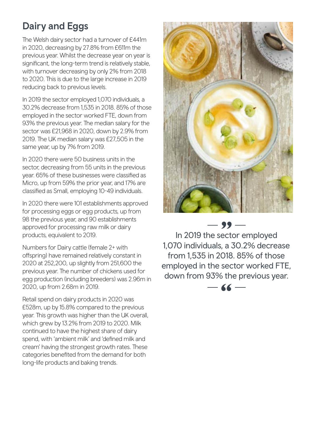# Dairy and Eggs

The Welsh dairy sector had a turnover of £441m in 2020, decreasing by 27.8% from £611m the previous year. Whilst the decrease year on year is significant, the long-term trend is relatively stable, with turnover decreasing by only 2% from 2018 to 2020. This is due to the large increase in 2019 reducing back to previous levels.

In 2019 the sector employed 1,070 individuals, a 30.2% decrease from 1,535 in 2018. 85% of those employed in the sector worked FTE, down from 93% the previous year. The median salary for the sector was £21,968 in 2020, down by 2.9% from 2019. The UK median salary was £27,505 in the same year, up by 7% from 2019.

In 2020 there were 50 business units in the sector, decreasing from 55 units in the previous year. 65% of these businesses were classified as Micro, up from 59% the prior year, and 17% are classified as Small, employing 10-49 individuals.

In 2020 there were 101 establishments approved for processing eggs or egg products, up from 98 the previous year, and 90 establishments approved for processing raw milk or dairy products, equivalent to 2019.

Numbers for Dairy cattle (female 2+ with offspring) have remained relatively constant in 2020 at 252,200, up slightly from 251,600 the previous year. The number of chickens used for egg production (including breeders) was 2.96m in 2020, up from 2.68m in 2019.

Retail spend on dairy products in 2020 was £528m, up by 15.8% compared to the previous year. This growth was higher than the UK overall, which grew by 13.2% from 2019 to 2020. Milk continued to have the highest share of dairy spend, with 'ambient milk' and 'defined milk and cream' having the strongest growth rates. These categories benefited from the demand for both long-life products and baking trends.



In 2019 the sector employed 1,070 individuals, a 30.2% decrease from 1,535 in 2018. 85% of those employed in the sector worked FTE, down from 93% the previous year.

 $-99-$ 

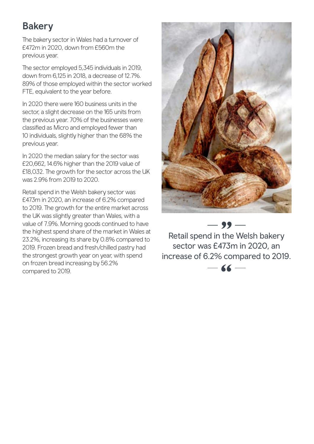# **Bakery**

The bakery sector in Wales had a turnover of £472m in 2020, down from £560m the previous year.

The sector employed 5,345 individuals in 2019, down from 6,125 in 2018, a decrease of 12.7%. 89% of those employed within the sector worked FTE, equivalent to the year before.

In 2020 there were 160 business units in the sector, a slight decrease on the 165 units from the previous year. 70% of the businesses were classified as Micro and employed fewer than 10 individuals, slightly higher than the 68% the previous year.

In 2020 the median salary for the sector was £20,662, 14.6% higher than the 2019 value of £18,032. The growth for the sector across the UK was 2.9% from 2019 to 2020.

Retail spend in the Welsh bakery sector was £473m in 2020, an increase of 6.2% compared to 2019. The growth for the entire market across the UK was slightly greater than Wales, with a value of 7.9%. Morning goods continued to have the highest spend share of the market in Wales at 23.2%, increasing its share by 0.8% compared to 2019. Frozen bread and fresh/chilled pastry had the strongest growth year on year, with spend on frozen bread increasing by 56.2% compared to 2019.



 $-$  99  $-$ 

Retail spend in the Welsh bakery sector was £473m in 2020, an increase of 6.2% compared to 2019.

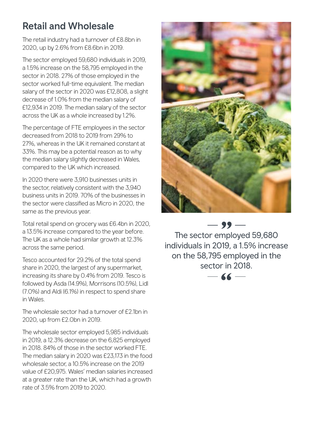### Retail and Wholesale

The retail industry had a turnover of £8.8bn in 2020, up by 2.6% from £8.6bn in 2019.

The sector employed 59,680 individuals in 2019, a 1.5% increase on the 58,795 employed in the sector in 2018. 27% of those employed in the sector worked full-time equivalent. The median salary of the sector in 2020 was £12,808, a slight decrease of 1.0% from the median salary of £12,934 in 2019. The median salary of the sector across the UK as a whole increased by 1.2%.

The percentage of FTE employees in the sector decreased from 2018 to 2019 from 29% to 27%, whereas in the UK it remained constant at 33%. This may be a potential reason as to why the median salary slightly decreased in Wales, compared to the UK which increased.

In 2020 there were 3,910 businesses units in the sector, relatively consistent with the 3,940 business units in 2019. 70% of the businesses in the sector were classified as Micro in 2020, the same as the previous year.

Total retail spend on grocery was £6.4bn in 2020, a 13.5% increase compared to the year before. The UK as a whole had similar growth at 12.3% across the same period.

Tesco accounted for 29.2% of the total spend share in 2020, the largest of any supermarket, increasing its share by 0.4% from 2019. Tesco is followed by Asda (14.9%), Morrisons (10.5%), Lidl (7.0%) and Aldi (6.1%) in respect to spend share in Wales.

The wholesale sector had a turnover of £2.1bn in 2020, up from £2.0bn in 2019.

The wholesale sector employed 5,985 individuals in 2019, a 12.3% decrease on the 6,825 employed in 2018. 84% of those in the sector worked FTE. The median salary in 2020 was £23,173 in the food wholesale sector, a 10.5% increase on the 2019 value of £20,975. Wales' median salaries increased at a greater rate than the UK, which had a growth rate of 3.5% from 2019 to 2020.



 $-99-$ The sector employed 59,680 individuals in 2019, a 1.5% increase on the 58,795 employed in the sector in 2018.

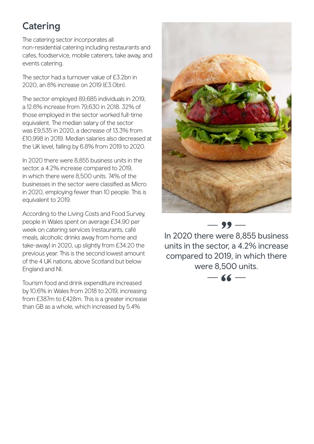# **Catering**

The catering sector incorporates all non-residential catering including restaurants and cafes, foodservice, mobile caterers, take away, and events catering.

The sector had a turnover value of £3.2bn in 2020, an 8% increase on 2019 (£3.0bn).

The sector employed 89,685 individuals in 2019, a 12.6% increase from 79,630 in 2018. 32% of those employed in the sector worked full-time equivalent. The median salary of the sector was £9,535 in 2020, a decrease of 13.3% from £10,998 in 2019. Median salaries also decreased at the UK level, falling by 6.8% from 2019 to 2020.

In 2020 there were 8,855 business units in the sector, a 4.2% increase compared to 2019, in which there were 8,500 units. 74% of the businesses in the sector were classified as Micro in 2020, employing fewer than 10 people. This is equivalent to 2019.

According to the Living Costs and Food Survey, people in Wales spent on average £34.90 per week on catering services (restaurants, café meals, alcoholic drinks away from home and take-away) in 2020, up slightly from £34.20 the previous year. This is the second lowest amount of the 4 UK nations, above Scotland but below England and NI.

Tourism food and drink expenditure increased by 10.6% in Wales from 2018 to 2019, increasing from £387m to £428m. This is a greater increase than GB as a whole, which increased by 5.4%



In 2020 there were 8,855 business units in the sector, a 4.2% increase compared to 2019, in which there were 8,500 units.

 $-99-$ 

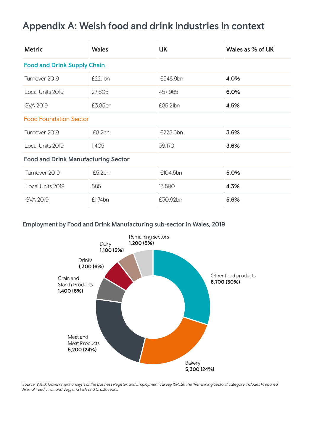# Appendix A: Welsh food and drink industries in context

| <b>Metric</b>                              | <b>Wales</b> | <b>UK</b>     | Wales as % of UK |  |  |  |  |
|--------------------------------------------|--------------|---------------|------------------|--|--|--|--|
| <b>Food and Drink Supply Chain</b>         |              |               |                  |  |  |  |  |
| Turnover 2019                              | £22.1bn      | £548.9bn      | 4.0%             |  |  |  |  |
| Local Units 2019                           | 27,605       | 457,965       | 6.0%             |  |  |  |  |
| GVA 2019                                   | £3.85bn      | £85.21bn      | 4.5%             |  |  |  |  |
| <b>Food Foundation Sector</b>              |              |               |                  |  |  |  |  |
| Turnover 2019                              | £8.2bn       | £228.6bn      | 3.6%             |  |  |  |  |
| Local Units 2019                           | 1,405        | <b>39,170</b> | 3.6%             |  |  |  |  |
| <b>Food and Drink Manufacturing Sector</b> |              |               |                  |  |  |  |  |
| Turnover 2019                              | £5.2bn       | £104.5bn      | 5.0%             |  |  |  |  |
| Local Units 2019                           | 585          | 13,590        | 4.3%             |  |  |  |  |
| GVA 2019                                   | £1.74bn      | £30.92bn      | 5.6%             |  |  |  |  |

#### Employment by Food and Drink Manufacturing sub-sector in Wales, 2019



Source: Welsh Government analysis of the Business Register and Employment Survey (BRES). The 'Remaining Sectors' category includes Prepared Animal Feed, Fruit and Veg, and Fish and Crustaceans.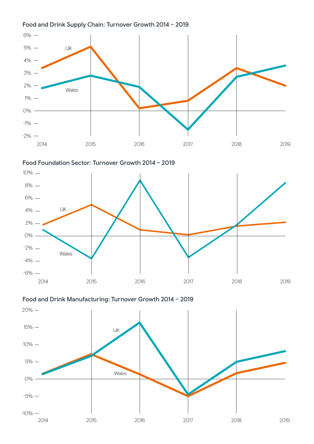#### Food and Drink Supply Chain: Turnover Growth 2014 – 2019



Food Foundation Sector: Turnover Growth 2014 – 2019



Food and Drink Manufacturing: Turnover Growth 2014 – 2019